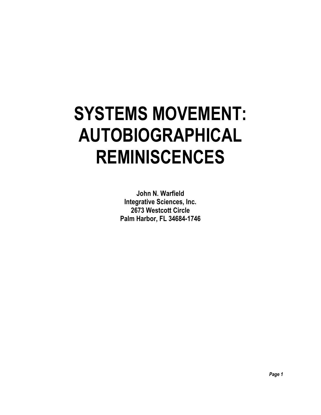# **SYSTEMS MOVEMENT: AUTOBIOGRAPHICAL REMINISCENCES**

**John N. Warfield Integrative Sciences, Inc. 2673 Westcott Circle Palm Harbor, FL 34684-1746**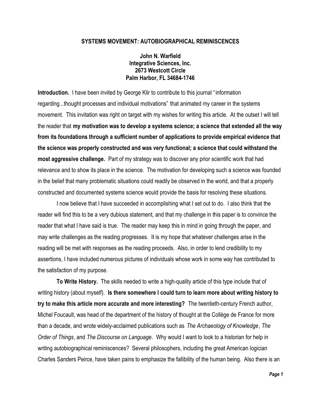#### **SYSTEMS MOVEMENT: AUTOBIOGRAPHICAL REMINISCENCES**

**John N. Warfield Integrative Sciences, Inc. 2673 Westcott Circle Palm Harbor, FL 34684-1746**

**Introduction.** I have been invited by George Klir to contribute to this journal "information regarding...thought processes and individual motivations" that animated my career in the systems movement. This invitation was right on target with my wishes for writing this article. At the outset I will tell the reader that **my motivation was to develop a systems science; a science that extended all the way from its foundations through a sufficient number of applications to provide empirical evidence that the science was properly constructed and was very functional; a science that could withstand the most aggressive challenge.** Part of my strategy was to discover any prior scientific work that had relevance and to show its place in the science. The motivation for developing such a science was founded in the belief that many problematic situations could readily be observed in the world, and that a properly constructed and documented systems science would provide the basis for resolving these situations.

I now believe that I have succeeded in accomplishing what I set out to do. I also think that the reader will find this to be a very dubious statement, and that my challenge in this paper is to convince the reader that what I have said is true. The reader may keep this in mind in going through the paper, and may write challenges as the reading progresses. It is my hope that whatever challenges arise in the reading will be met with responses as the reading proceeds. Also, in order to lend credibility to my assertions, I have included numerous pictures of individuals whose work in some way has contributed to the satisfaction of my purpose.

**To Write History.** The skills needed to write a high-quality article of this type include that of writing history (about myself). **Is there somewhere I could turn to learn more about writing history to try to make this article more accurate and more interesting?** The twentieth-century French author, Michel Foucault, was head of the department of the history of thought at the Collège de France for more than a decade, and wrote widely-acclaimed publications such as *The Archaeology of Knowledge*, *The Order of Things*, and *The Discourse on Language*. Why would I want to look to a historian for help in writing autobiographical reminiscences? Several philosophers, including the great American logician Charles Sanders Peirce, have taken pains to emphasize the fallibility of the human being. Also there is an

*Page 1*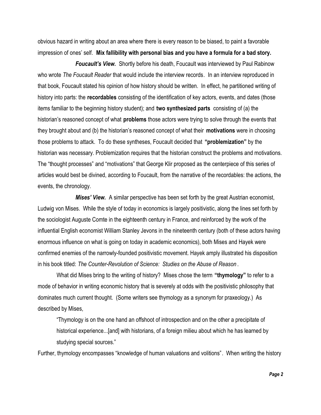obvious hazard in writing about an area where there is every reason to be biased, to paint a favorable impression of ones' self. **Mix fallibility with personal bias and you have a formula for a bad story.**

*Foucault's View.* Shortly before his death, Foucault was interviewed by Paul Rabinow who wrote *The Foucault Reader* that would include the interview records*.* In an interview reproduced in that book, Foucault stated his opinion of how history should be written. In effect, he partitioned writing of history into parts: the **recordables** consisting of the identification of key actors, events, and dates (those items familiar to the beginning history student); and **two synthesized parts** consisting of (a) the historian's reasoned concept of what **problems** those actors were trying to solve through the events that they brought about and (b) the historian's reasoned concept of what their **motivations** were in choosing those problems to attack. To do these syntheses, Foucault decided that **"problemization"** by the historian was necessary. Problemization requires that the historian construct the problems and motivations. The "thought processes" and "motivations" that George Klir proposed as the centerpiece of this series of articles would best be divined, according to Foucault, from the narrative of the recordables: the actions, the events, the chronology.

*Mises' View.* A similar perspective has been set forth by the great Austrian economist, Ludwig von Mises. While the style of today in economics is largely positivistic, along the lines set forth by the sociologist Auguste Comte in the eighteenth century in France, and reinforced by the work of the influential English economist William Stanley Jevons in the nineteenth century (both of these actors having enormous influence on what is going on today in academic economics), both Mises and Hayek were confirmed enemies of the narrowly-founded positivistic movement. Hayek amply illustrated his disposition in his book titled: *The Counter-Revolution of Science: Studies on the Abuse of Reason* .

What did Mises bring to the writing of history? Mises chose the term **"thymology"** to refer to a mode of behavior in writing economic history that is severely at odds with the positivistic philosophy that dominates much current thought. (Some writers see thymology as a synonym for praxeology.) As described by Mises,

"Thymology is on the one hand an offshoot of introspection and on the other a precipitate of historical experience...[and] with historians, of a foreign milieu about which he has learned by studying special sources."

Further, thymology encompasses "knowledge of human valuations and volitions". When writing the history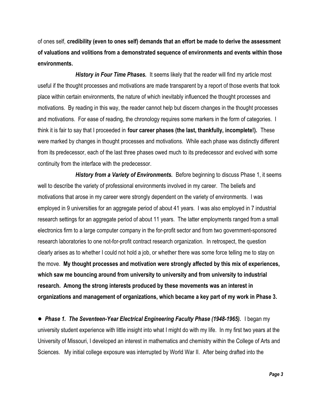of ones self, **credibility (even to ones self) demands that an effort be made to derive the assessment of valuations and volitions from a demonstrated sequence of environments and events within those environments.**

*History in Four Time Phases.*It seems likely that the reader will find my article most useful if the thought processes and motivations are made transparent by a report of those events that took place within certain environments, the nature of which inevitably influenced the thought processes and motivations. By reading in this way, the reader cannot help but discern changes in the thought processes and motivations. For ease of reading, the chronology requires some markers in the form of categories. I think it is fair to say that I proceeded in **four career phases (the last, thankfully, incomplete!).** These were marked by changes in thought processes and motivations. While each phase was distinctly different from its predecessor, each of the last three phases owed much to its predecessor and evolved with some continuity from the interface with the predecessor.

**History from a Variety of Environments.** Before beginning to discuss Phase 1, it seems well to describe the variety of professional environments involved in my career. The beliefs and motivations that arose in my career were strongly dependent on the variety of environments. I was employed in 9 universities for an aggregate period of about 41 years. I was also employed in 7 industrial research settings for an aggregate period of about 11 years. The latter employments ranged from a small electronics firm to a large computer company in the for-profit sector and from two government-sponsored research laboratories to one not-for-profit contract research organization. In retrospect, the question clearly arises as to whether I could not hold a job, or whether there was some force telling me to stay on the move. **My thought processes and motivation were strongly affected by this mix of experiences, which saw me bouncing around from university to university and from university to industrial research. Among the strong interests produced by these movements was an interest in organizations and management of organizations, which became a key part of my work in Phase 3.**

●*Phase 1. The Seventeen-Year Electrical Engineering Faculty Phase (1948-1965).* I began my university student experience with little insight into what I might do with my life. In my first two years at the University of Missouri, I developed an interest in mathematics and chemistry within the College of Arts and Sciences. My initial college exposure was interrupted by World War II. After being drafted into the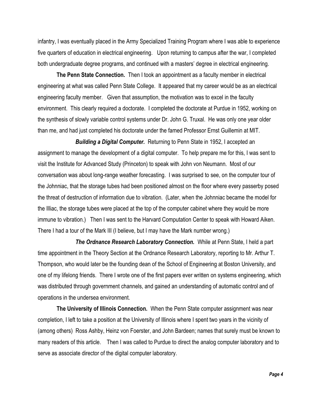infantry, I was eventually placed in the Army Specialized Training Program where I was able to experience five quarters of education in electrical engineering. Upon returning to campus after the war, I completed both undergraduate degree programs, and continued with a masters' degree in electrical engineering.

**The Penn State Connection.** Then I took an appointment as a faculty member in electrical engineering at what was called Penn State College. It appeared that my career would be as an electrical engineering faculty member. Given that assumption, the motivation was to excel in the faculty environment. This clearly required a doctorate. I completed the doctorate at Purdue in 1952, working on the synthesis of slowly variable control systems under Dr. John G. Truxal. He was only one year older than me, and had just completed his doctorate under the famed Professor Ernst Guillemin at MIT.

*Building a Digital Computer.* Returning to Penn State in 1952, I accepted an assignment to manage the development of a digital computer. To help prepare me for this, I was sent to visit the Institute for Advanced Study (Princeton) to speak with John von Neumann. Most of our conversation was about long-range weather forecasting. I was surprised to see, on the computer tour of the Johnniac, that the storage tubes had been positioned almost on the floor where every passerby posed the threat of destruction of information due to vibration. (Later, when the Johnniac became the model for the Illiac, the storage tubes were placed at the top of the computer cabinet where they would be more immune to vibration.) Then I was sent to the Harvard Computation Center to speak with Howard Aiken. There I had a tour of the Mark III (I believe, but I may have the Mark number wrong.)

*The Ordnance Research Laboratory Connection.* While at Penn State, I held a part time appointment in the Theory Section at the Ordnance Research Laboratory, reporting to Mr. Arthur T. Thompson, who would later be the founding dean of the School of Engineering at Boston University, and one of my lifelong friends. There I wrote one of the first papers ever written on systems engineering, which was distributed through government channels, and gained an understanding of automatic control and of operations in the undersea environment.

**The University of Illinois Connection.** When the Penn State computer assignment was near completion, I left to take a position at the University of Illinois where I spent two years in the vicinity of (among others) Ross Ashby, Heinz von Foerster, and John Bardeen; names that surely must be known to many readers of this article. Then I was called to Purdue to direct the analog computer laboratory and to serve as associate director of the digital computer laboratory.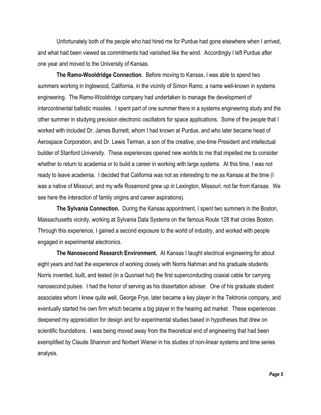Unfortunately both of the people who had hired me for Purdue had gone elsewhere when I arrived, and what had been viewed as commitments had vanished like the wind. Accordingly I left Purdue after one year and moved to the University of Kansas.

**The Ramo-Wooldridge Connection.** Before moving to Kansas, I was able to spend two summers working in Inglewood, California, in the vicinity of Simon Ramo, a name well-known in systems engineering. The Ramo-Wooldridge company had undertaken to manage the development of intercontinental ballistic missiles. I spent part of one summer there in a systems engineering study and the other summer in studying precision electronic oscillators for space applications. Some of the people that I worked with included Dr. James Burnett, whom I had known at Purdue, and who later became head of Aerospace Corporation, and Dr. Lewis Terman, a son of the creative, one-time President and intellectual builder of Stanford University. These experiences opened new worlds to me that impelled me to consider whether to return to academia or to build a career in working with large systems. At this time, I was not ready to leave academia. I decided that California was not as interesting to me as Kansas at the time (I was a native of Missouri, and my wife Rosamond grew up in Lexington, Missouri, not far from Kansas. We see here the interaction of family origins and career aspirations).

**The Sylvania Connection.** During the Kansas appointment, I spent two summers in the Boston, Massachusetts vicinity, working at Sylvania Data Systems on the famous Route 128 that circles Boston. Through this experience, I gained a second exposure to the world of industry, and worked with people engaged in experimental electronics.

**The Nanosecond Research Environment.** At Kansas I taught electrical engineering for about eight years and had the experience of working closely with Norris Nahman and his graduate students. Norris invented, built, and tested (in a Quonset hut) the first superconducting coaxial cable for carrying nanosecond pulses. I had the honor of serving as his dissertation adviser. One of his graduate student associates whom I knew quite well, George Frye, later became a key player in the Tektronix company, and eventually started his own firm which became a big player in the hearing aid market. These experiences deepened my appreciation for design and for experimental studies based in hypotheses that drew on scientific foundations. I was being moved away from the theoretical end of engineering that had been exemplified by Claude Shannon and Norbert Wiener in his studies of non-linear systems and time series analysis.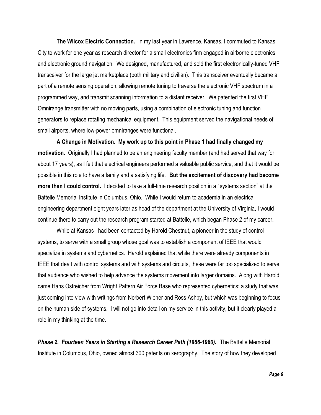**The Wilcox Electric Connection.** In my last year in Lawrence, Kansas, I commuted to Kansas City to work for one year as research director for a small electronics firm engaged in airborne electronics and electronic ground navigation. We designed, manufactured, and sold the first electronically-tuned VHF transceiver for the large jet marketplace (both military and civilian). This transceiver eventually became a part of a remote sensing operation, allowing remote tuning to traverse the electronic VHF spectrum in a programmed way, and transmit scanning information to a distant receiver. We patented the first VHF Omnirange transmitter with no moving parts, using a combination of electronic tuning and function generators to replace rotating mechanical equipment. This equipment served the navigational needs of small airports, where low-power omniranges were functional.

**A Change in Motivation. My work up to this point in Phase 1 had finally changed my motivation**. Originally I had planned to be an engineering faculty member (and had served that way for about 17 years), as I felt that electrical engineers performed a valuable public service, and that it would be possible in this role to have a family and a satisfying life. **But the excitement of discovery had become more than I could control.** I decided to take a full-time research position in a "systems section" at the Battelle Memorial Institute in Columbus, Ohio. While I would return to academia in an electrical engineering department eight years later as head of the department at the University of Virginia, I would continue there to carry out the research program started at Battelle, which began Phase 2 of my career.

While at Kansas I had been contacted by Harold Chestnut, a pioneer in the study of control systems, to serve with a small group whose goal was to establish a component of IEEE that would specialize in systems and cybernetics. Harold explained that while there were already components in IEEE that dealt with control systems and with systems and circuits, these were far too specialized to serve that audience who wished to help advance the systems movement into larger domains. Along with Harold came Hans Ostreicher from Wright Pattern Air Force Base who represented cybernetics: a study that was just coming into view with writings from Norbert Wiener and Ross Ashby, but which was beginning to focus on the human side of systems. I will not go into detail on my service in this activity, but it clearly played a role in my thinking at the time.

*Phase 2. Fourteen Years in Starting a Research Career Path (1966-1980).* The Battelle Memorial Institute in Columbus, Ohio, owned almost 300 patents on xerography. The story of how they developed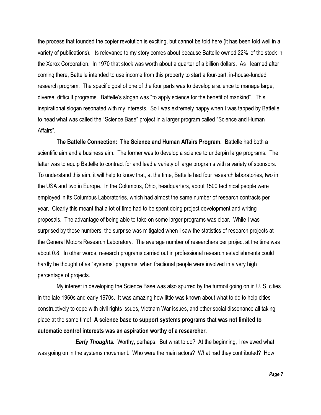the process that founded the copier revolution is exciting, but cannot be told here (it has been told well in a variety of publications). Its relevance to my story comes about because Battelle owned 22% of the stock in the Xerox Corporation. In 1970 that stock was worth about a quarter of a billion dollars. As I learned after coming there, Battelle intended to use income from this property to start a four-part, in-house-funded research program. The specific goal of one of the four parts was to develop a science to manage large, diverse, difficult programs. Battelle's slogan was "to apply science for the benefit of mankind". This inspirational slogan resonated with my interests. So I was extremely happy when I was tapped by Battelle to head what was called the "Science Base" project in a larger program called "Science and Human Affairs".

**The Battelle Connection: The Science and Human Affairs Program.** Battelle had both a scientific aim and a business aim. The former was to develop a science to underpin large programs. The latter was to equip Battelle to contract for and lead a variety of large programs with a variety of sponsors. To understand this aim, it will help to know that, at the time, Battelle had four research laboratories, two in the USA and two in Europe. In the Columbus, Ohio, headquarters, about 1500 technical people were employed in its Columbus Laboratories, which had almost the same number of research contracts per year. Clearly this meant that a lot of time had to be spent doing project development and writing proposals. The advantage of being able to take on some larger programs was clear. While I was surprised by these numbers, the surprise was mitigated when I saw the statistics of research projects at the General Motors Research Laboratory. The average number of researchers per project at the time was about 0.8. In other words, research programs carried out in professional research establishments could hardly be thought of as "systems" programs, when fractional people were involved in a very high percentage of projects.

My interest in developing the Science Base was also spurred by the turmoil going on in U. S. cities in the late 1960s and early 1970s. It was amazing how little was known about what to do to help cities constructively to cope with civil rights issues, Vietnam War issues, and other social dissonance all taking place at the same time! **A science base to support systems programs that was not limited to automatic control interests was an aspiration worthy of a researcher.**

*Early Thoughts.*Worthy, perhaps. But what to do? At the beginning, I reviewed what was going on in the systems movement. Who were the main actors? What had they contributed? How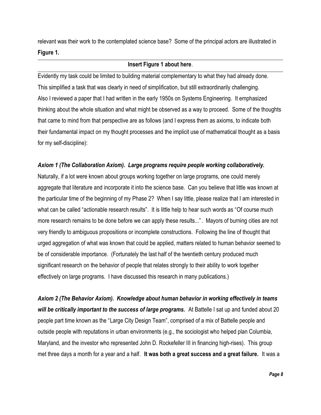relevant was their work to the contemplated science base? Some of the principal actors are illustrated in **Figure 1.**

### **Insert Figure 1 about here**.

Evidently my task could be limited to building material complementary to what they had already done. This simplified a task that was clearly in need of simplification, but still extraordinarily challenging. Also I reviewed a paper that I had written in the early 1950s on Systems Engineering. It emphasized thinking about the whole situation and what might be observed as a way to proceed. Some of the thoughts that came to mind from that perspective are as follows (and I express them as axioms, to indicate both their fundamental impact on my thought processes and the implicit use of mathematical thought as a basis for my self-discipline):

### *Axiom 1 (The Collaboration Axiom). Large programs require people working collaboratively.*

Naturally, if a lot were known about groups working together on large programs, one could merely aggregate that literature and incorporate it into the science base. Can you believe that little was known at the particular time of the beginning of my Phase 2? When I say little, please realize that I am interested in what can be called "actionable research results". It is little help to hear such words as "Of course much more research remains to be done before we can apply these results...". Mayors of burning cities are not very friendly to ambiguous propositions or incomplete constructions. Following the line of thought that urged aggregation of what was known that could be applied, matters related to human behavior seemed to be of considerable importance. (Fortunately the last half of the twentieth century produced much significant research on the behavior of people that relates strongly to their ability to work together effectively on large programs. I have discussed this research in many publications.)

*Axiom 2 (The Behavior Axiom). Knowledge about human behavior in working effectively in teams will be critically important to the success of large programs.* At Battelle I sat up and funded about 20 people part time known as the "Large City Design Team", comprised of a mix of Battelle people and outside people with reputations in urban environments (e.g., the sociologist who helped plan Columbia, Maryland, and the investor who represented John D. Rockefeller III in financing high-rises). This group met three days a month for a year and a half. **It was both a great success and a great failure.** It was a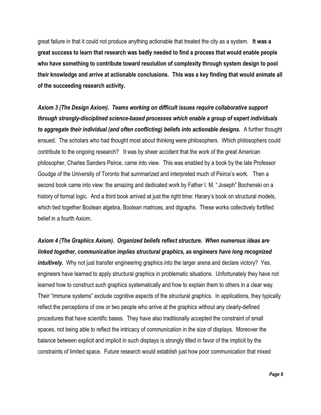great failure in that it could not produce anything actionable that treated the city as a system. **It was a great success to learn that research was badly needed to find a process that would enable people who have something to contribute toward resolution of complexity through system design to pool their knowledge and arrive at actionable conclusions. This was a key finding that would animate all of the succeeding research activity.**

*Axiom 3 (The Design Axiom). Teams working on difficult issues require collaborative support through strongly-disciplined science-based processes which enable a group of expert individuals to aggregate their individual (and often conflicting) beliefs into actionable designs.* A further thought ensued. The scholars who had thought most about thinking were philosophers. Which philosophers could contribute to the ongoing research? It was by sheer accident that the work of the great American philosopher, Charles Sanders Peirce, came into view. This was enabled by a book by the late Professor Goudge of the University of Toronto that summarized and interpreted much of Peirce's work. Then a second book came into view: the amazing and dedicated work by Father I. M. " Joseph" Bochenski on a history of formal logic. And a third book arrived at just the right time: Harary's book on structural models, which tied together Boolean algebra, Boolean matrices, and digraphs. These works collectively fortified belief in a fourth Axiom.

*Axiom 4 (The Graphics Axiom). Organized beliefs reflect structure. When numerous ideas are linked together, communication implies structural graphics, as engineers have long recognized intuitively.*Why not just transfer engineering graphics into the larger arena and declare victory? Yes, engineers have learned to apply structural graphics in problematic situations. Unfortunately they have not learned how to construct such graphics systematically and how to explain them to others in a clear way. Their "immune systems" exclude cognitive aspects of the structural graphics. In applications, they typically reflect the perceptions of one or two people who arrive at the graphics without any clearly-defined procedures that have scientific bases. They have also traditionally accepted the constraint of small spaces, not being able to reflect the intricacy of communication in the size of displays. Moreover the balance between explicit and implicit in such displays is strongly tilted in favor of the implicit by the constraints of limited space. Future research would establish just how poor communication that mixed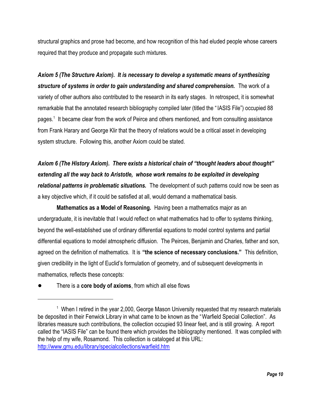structural graphics and prose had become, and how recognition of this had eluded people whose careers required that they produce and propagate such mixtures.

*Axiom 5 (The Structure Axiom). It is necessary to develop a systematic means of synthesizing structure of systems in order to gain understanding and shared comprehension.* The work of a variety of other authors also contributed to the research in its early stages. In retrospect, it is somewhat remarkable that the annotated research bibliography compiled later (titled the "IASIS File") occupied 88 pages.<sup>1</sup> It became clear from the work of Peirce and others mentioned, and from consulting assistance from Frank Harary and George Klir that the theory of relations would be a critical asset in developing system structure. Following this, another Axiom could be stated.

*Axiom 6 (The History Axiom). There exists a historical chain of "thought leaders about thought" extending all the way back to Aristotle, whose work remains to be exploited in developing relational patterns in problematic situations.* The development of such patterns could now be seen as a key objective which, if it could be satisfied at all, would demand a mathematical basis.

**Mathematics as a Model of Reasoning.** Having been a mathematics major as an undergraduate, it is inevitable that I would reflect on what mathematics had to offer to systems thinking, beyond the well-established use of ordinary differential equations to model control systems and partial differential equations to model atmospheric diffusion. The Peirces, Benjamin and Charles, father and son, agreed on the definition of mathematics. It is **"the science of necessary conclusions."** This definition, given credibility in the light of Euclid's formulation of geometry, and of subsequent developments in mathematics, reflects these concepts:

There is a **core body of axioms**, from which all else flows

<sup>&</sup>lt;sup>1</sup> When I retired in the year 2,000, George Mason University requested that my research materials be deposited in their Fenwick Library in what came to be known as the "Warfield Special Collection". As libraries measure such contributions, the collection occupied 93 linear feet, and is still growing. A report called the "IASIS File" can be found there which provides the bibliography mentioned. It was compiled with the help of my wife, Rosamond. This collection is cataloged at this URL: http://www.gmu.edu/library/specialcollections/warfield.htm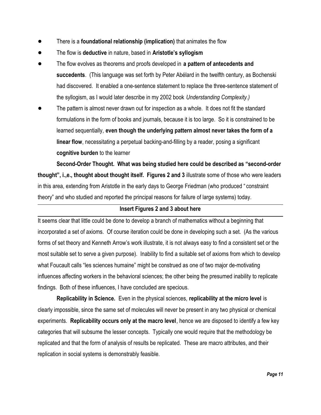- There is a **foundational relationship (implication)** that animates the flow
- The flow is **deductive** in nature, based in **Aristotle's syllogism**
- The flow evolves as theorems and proofs developed in **a pattern of antecedents and succedents**. (This language was set forth by Peter Abélard in the twelfth century, as Bochenski had discovered. It enabled a one-sentence statement to replace the three-sentence statement of the syllogism, as I would later describe in my 2002 book *Understanding Complexity.)*
- The pattern is almost never drawn out for inspection as a whole. It does not fit the standard formulations in the form of books and journals, because it is too large. So it is constrained to be learned sequentially, **even though the underlying pattern almost never takes the form of a linear flow**, necessitating a perpetual backing-and-filling by a reader, posing a significant **cognitive burden** to the learner

**Second-Order Thought. What was being studied here could be described as "second-order thought", i.,e., thought about thought itself. Figures 2 and 3** illustrate some of those who were leaders in this area, extending from Aristotle in the early days to George Friedman (who produced " constraint theory" and who studied and reported the principal reasons for failure of large systems) today.

## **Insert Figures 2 and 3 about here**

It seems clear that little could be done to develop a branch of mathematics without a beginning that incorporated a set of axioms. Of course iteration could be done in developing such a set. (As the various forms of set theory and Kenneth Arrow's work illustrate, it is not always easy to find a consistent set or the most suitable set to serve a given purpose). Inability to find a suitable set of axioms from which to develop what Foucault calls "les sciences humaine" might be construed as one of two major de-motivating influences affecting workers in the behavioral sciences; the other being the presumed inability to replicate findings. Both of these influences, I have concluded are specious.

**Replicability in Science.** Even in the physical sciences, **replicability at the micro level** is clearly impossible, since the same set of molecules will never be present in any two physical or chemical experiments. **Replicability occurs only at the macro level**, hence we are disposed to identify a few key categories that will subsume the lesser concepts. Typically one would require that the methodology be replicated and that the form of analysis of results be replicated. These are macro attributes, and their replication in social systems is demonstrably feasible.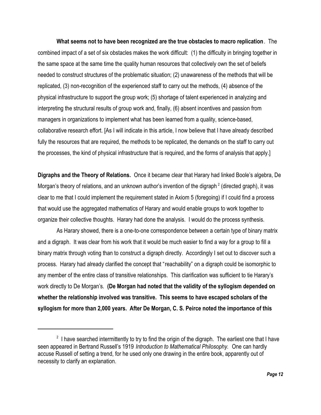**What seems not to have been recognized are the true obstacles to macro replication**. The combined impact of a set of six obstacles makes the work difficult: (1) the difficulty in bringing together in the same space at the same time the quality human resources that collectively own the set of beliefs needed to construct structures of the problematic situation; (2) unawareness of the methods that will be replicated, (3) non-recognition of the experienced staff to carry out the methods, (4) absence of the physical infrastructure to support the group work; (5) shortage of talent experienced in analyzing and interpreting the structural results of group work and, finally, (6) absent incentives and passion from managers in organizations to implement what has been learned from a quality, science-based, collaborative research effort. [As I will indicate in this article, I now believe that I have already described fully the resources that are required, the methods to be replicated, the demands on the staff to carry out the processes, the kind of physical infrastructure that is required, and the forms of analysis that apply.]

**Digraphs and the Theory of Relations.** Once it became clear that Harary had linked Boole's algebra, De Morgan's theory of relations, and an unknown author's invention of the digraph<sup>2</sup> (directed graph), it was clear to me that I could implement the requirement stated in Axiom 5 (foregoing) if I could find a process that would use the aggregated mathematics of Harary and would enable groups to work together to organize their collective thoughts. Harary had done the analysis. I would do the process synthesis.

As Harary showed, there is a one-to-one correspondence between a certain type of binary matrix and a digraph. It was clear from his work that it would be much easier to find a way for a group to fill a binary matrix through voting than to construct a digraph directly. Accordingly I set out to discover such a process. Harary had already clarified the concept that "reachability" on a digraph could be isomorphic to any member of the entire class of transitive relationships. This clarification was sufficient to tie Harary's work directly to De Morgan's. **(De Morgan had noted that the validity of the syllogism depended on whether the relationship involved was transitive. This seems to have escaped scholars of the syllogism for more than 2,000 years. After De Morgan, C. S. Peirce noted the importance of this**

 $2$  I have searched intermittently to try to find the origin of the digraph. The earliest one that I have seen appeared in Bertrand Russell's 1919 *Introduction to Mathematical Philosophy.* One can hardly accuse Russell of setting a trend, for he used only one drawing in the entire book, apparently out of necessity to clarify an explanation.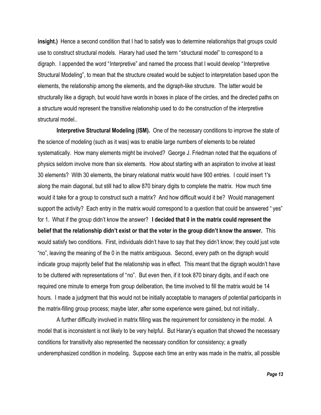**insight.)** Hence a second condition that I had to satisfy was to determine relationships that groups could use to construct structural models. Harary had used the term "structural model" to correspond to a digraph. I appended the word "Interpretive" and named the process that I would develop "Interpretive Structural Modeling", to mean that the structure created would be subject to interpretation based upon the elements, the relationship among the elements, and the digraph-like structure. The latter would be structurally like a digraph, but would have words in boxes in place of the circles, and the directed paths on a structure would represent the transitive relationship used to do the construction of the interpretive structural model..

**Interpretive Structural Modeling (ISM).** One of the necessary conditions to improve the state of the science of modeling (such as it was) was to enable large numbers of elements to be related systematically. How many elements might be involved? George J. Friedman noted that the equations of physics seldom involve more than six elements. How about starting with an aspiration to involve at least 30 elements? With 30 elements, the binary relational matrix would have 900 entries. I could insert 1's along the main diagonal, but still had to allow 870 binary digits to complete the matrix. How much time would it take for a group to construct such a matrix? And how difficult would it be? Would management support the activity? Each entry in the matrix would correspond to a question that could be answered " yes" for 1. What if the group didn't know the answer? **I decided that 0 in the matrix could represent the belief that the relationship didn't exist or that the voter in the group didn't know the answer.** This would satisfy two conditions. First, individuals didn't have to say that they didn't know; they could just vote "no", leaving the meaning of the 0 in the matrix ambiguous. Second, every path on the digraph would indicate group majority belief that the relationship was in effect. This meant that the digraph wouldn't have to be cluttered with representations of "no". But even then, if it took 870 binary digits, and if each one required one minute to emerge from group deliberation, the time involved to fill the matrix would be 14 hours. I made a judgment that this would not be initially acceptable to managers of potential participants in the matrix-filling group process; maybe later, after some experience were gained, but not initially..

A further difficulty involved in matrix filling was the requirement for consistency in the model. A model that is inconsistent is not likely to be very helpful. But Harary's equation that showed the necessary conditions for transitivity also represented the necessary condition for consistency; a greatly underemphasized condition in modeling. Suppose each time an entry was made in the matrix, all possible

*Page 13*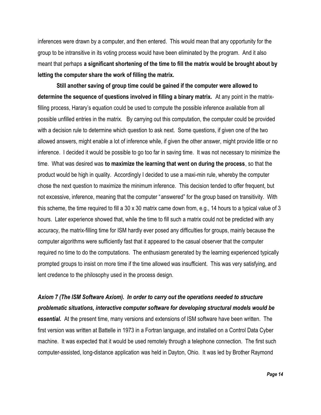inferences were drawn by a computer, and then entered. This would mean that any opportunity for the group to be intransitive in its voting process would have been eliminated by the program. And it also meant that perhaps **a significant shortening of the time to fill the matrix would be brought about by letting the computer share the work of filling the matrix.**

**Still another saving of group time could be gained if the computer were allowed to determine the sequence of questions involved in filling a binary matrix.** At any point in the matrixfilling process, Harary's equation could be used to compute the possible inference available from all possible unfilled entries in the matrix. By carrying out this computation, the computer could be provided with a decision rule to determine which question to ask next. Some questions, if given one of the two allowed answers, might enable a lot of inference while, if given the other answer, might provide little or no inference. I decided it would be possible to go too far in saving time. It was not necessary to minimize the time. What was desired was **to maximize the learning that went on during the process**, so that the product would be high in quality. Accordingly I decided to use a maxi-min rule, whereby the computer chose the next question to maximize the minimum inference. This decision tended to offer frequent, but not excessive, inference, meaning that the computer "answered" for the group based on transitivity. With this scheme, the time required to fill a 30 x 30 matrix came down from, e.g., 14 hours to a typical value of 3 hours. Later experience showed that, while the time to fill such a matrix could not be predicted with any accuracy, the matrix-filling time for ISM hardly ever posed any difficulties for groups, mainly because the computer algorithms were sufficiently fast that it appeared to the casual observer that the computer required no time to do the computations. The enthusiasm generated by the learning experienced typically prompted groups to insist on more time if the time allowed was insufficient. This was very satisfying, and lent credence to the philosophy used in the process design.

*Axiom 7 (The ISM Software Axiom). In order to carry out the operations needed to structure problematic situations, interactive computer software for developing structural models would be essential.*At the present time, many versions and extensions of ISM software have been written. The first version was written at Battelle in 1973 in a Fortran language, and installed on a Control Data Cyber machine. It was expected that it would be used remotely through a telephone connection. The first such computer-assisted, long-distance application was held in Dayton, Ohio. It was led by Brother Raymond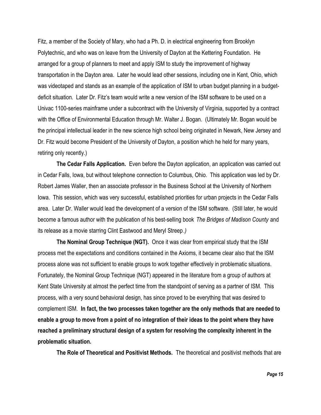Fitz, a member of the Society of Mary, who had a Ph. D. in electrical engineering from Brooklyn Polytechnic, and who was on leave from the University of Dayton at the Kettering Foundation. He arranged for a group of planners to meet and apply ISM to study the improvement of highway transportation in the Dayton area. Later he would lead other sessions, including one in Kent, Ohio, which was videotaped and stands as an example of the application of ISM to urban budget planning in a budgetdeficit situation. Later Dr. Fitz's team would write a new version of the ISM software to be used on a Univac 1100-series mainframe under a subcontract with the University of Virginia, supported by a contract with the Office of Environmental Education through Mr. Walter J. Bogan. (Ultimately Mr. Bogan would be the principal intellectual leader in the new science high school being originated in Newark, New Jersey and Dr. Fitz would become President of the University of Dayton, a position which he held for many years, retiring only recently.)

**The Cedar Falls Application.** Even before the Dayton application, an application was carried out in Cedar Falls, Iowa, but without telephone connection to Columbus, Ohio. This application was led by Dr. Robert James Waller, then an associate professor in the Business School at the University of Northern Iowa. This session, which was very successful, established priorities for urban projects in the Cedar Falls area. Later Dr. Waller would lead the development of a version of the ISM software. (Still later, he would become a famous author with the publication of his best-selling book *The Bridges of Madison County* and its release as a movie starring Clint Eastwood and Meryl Streep*.)*

**The Nominal Group Technique (NGT).** Once it was clear from empirical study that the ISM process met the expectations and conditions contained in the Axioms, it became clear also that the ISM process alone was not sufficient to enable groups to work together effectively in problematic situations. Fortunately, the Nominal Group Technique (NGT) appeared in the literature from a group of authors at Kent State University at almost the perfect time from the standpoint of serving as a partner of ISM. This process, with a very sound behavioral design, has since proved to be everything that was desired to complement ISM. **In fact, the two processes taken together are the only methods that are needed to enable a group to move from a point of no integration of their ideas to the point where they have reached a preliminary structural design of a system for resolving the complexity inherent in the problematic situation.** 

**The Role of Theoretical and Positivist Methods.** The theoretical and positivist methods that are

*Page 15*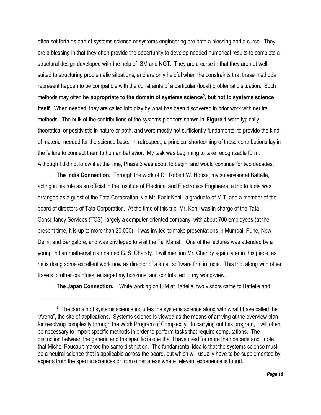often set forth as part of systems science or systems engineering are both a blessing and a curse. They are a blessing in that they often provide the opportunity to develop needed numerical results to complete a structural design developed with the help of ISM and NGT. They are a curse in that they are not wellsuited to structuring problematic situations, and are only helpful when the constraints that these methods represent happen to be compatible with the constraints of a particular (local) problematic situation. Such methods may often be **appropriate to the domain of systems science<sup>3</sup> , but not to systems science itself**. When needed, they are called into play by what has been discovered in prior work with neutral methods. The bulk of the contributions of the systems pioneers shown in **Figure 1** were typically theoretical or positivistic in nature or both, and were mostly not sufficiently fundamental to provide the kind of material needed for the science base. In retrospect, a principal shortcoming of those contributions lay in the failure to connect them to human behavior. My task was beginning to take recognizable form. Although I did not know it at the time, Phase 3 was about to begin, and would continue for two decades.

**The India Connection.** Through the work of Dr. Robert W. House, my supervisor at Battelle, acting in his role as an official in the Institute of Electrical and Electronics Engineers, a trip to India was arranged as a guest of the Tata Corporation, via Mr. Faqir Kohli, a graduate of MIT, and a member of the board of directors of Tata Corporation. At the time of this trip, Mr. Kohli was in charge of the Tata Consultancy Services (TCS), largely a computer-oriented company, with about 700 employees (at the present time, it is up to more than 20,000). I was invited to make presentations in Mumbai, Pune, New Delhi, and Bangalore, and was privileged to visit the Taj Mahal. One of the lectures was attended by a young Indian mathematician named G. S. Chandy. I will mention Mr. Chandy again later in this piece, as he is doing some excellent work now as director of a small software firm in India. This trip, along with other travels to other countries, enlarged my horizons, and contributed to my world-view.

**The Japan Connection.** While working on ISM at Battelle, two visitors came to Battelle and

 $3$  The domain of systems science includes the systems science along with what I have called the "Arena", the site of applications. Systems science is viewed as the means of arriving at the overview plan for resolving complexity through the Work Program of Complexity. In carrying out this program, it will often be necessary to import specific methods in order to perform tasks that require computations. The distinction between the generic and the specific is one that I have used for more than decade and I note that Michel Foucault makes the same distinction. The fundamental idea is that the systems science must be a neutral science that is applicable across the board, but which will usually have to be supplemented by experts from the specific sciences or from other areas where relevant experience is found.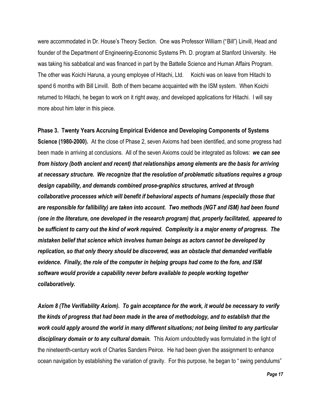were accommodated in Dr. House's Theory Section. One was Professor William ("Bill") Linvill, Head and founder of the Department of Engineering-Economic Systems Ph. D. program at Stanford University. He was taking his sabbatical and was financed in part by the Battelle Science and Human Affairs Program. The other was Koichi Haruna, a young employee of Hitachi, Ltd. Koichi was on leave from Hitachi to spend 6 months with Bill Linvill. Both of them became acquainted with the ISM system. When Koichi returned to Hitachi, he began to work on it right away, and developed applications for Hitachi. I will say more about him later in this piece.

**Phase 3. Twenty Years Accruing Empirical Evidence and Developing Components of Systems Science (1980-2000).** At the close of Phase 2, seven Axioms had been identified, and some progress had been made in arriving at conclusions. All of the seven Axioms could be integrated as follows: *we can see from history (both ancient and recent) that relationships among elements are the basis for arriving at necessary structure. We recognize that the resolution of problematic situations requires a group design capability, and demands combined prose-graphics structures, arrived at through collaborative processes which will benefit if behavioral aspects of humans (especially those that are responsible for fallibility) are taken into account. Two methods (NGT and ISM) had been found (one in the literature, one developed in the research program) that, properly facilitated, appeared to be sufficient to carry out the kind of work required. Complexity is a major enemy of progress. The mistaken belief that science which involves human beings as actors cannot be developed by replication, so that only theory should be discovered, was an obstacle that demanded verifiable evidence. Finally, the role of the computer in helping groups had come to the fore, and ISM software would provide a capability never before available to people working together collaboratively.*

*Axiom 8 (The Verifiability Axiom). To gain acceptance for the work, it would be necessary to verify the kinds of progress that had been made in the area of methodology, and to establish that the work could apply around the world in many different situations; not being limited to any particular disciplinary domain or to any cultural domain.*This Axiom undoubtedly was formulated in the light of the nineteenth-century work of Charles Sanders Peirce. He had been given the assignment to enhance ocean navigation by establishing the variation of gravity. For this purpose, he began to " swing pendulums"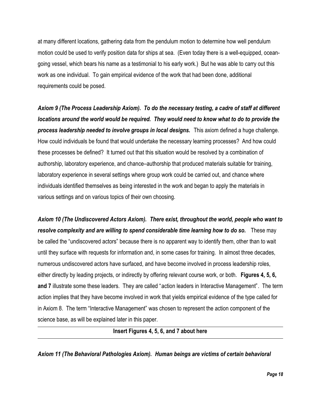at many different locations, gathering data from the pendulum motion to determine how well pendulum motion could be used to verify position data for ships at sea. (Even today there is a well-equipped, oceangoing vessel, which bears his name as a testimonial to his early work.) But he was able to carry out this work as one individual. To gain empirical evidence of the work that had been done, additional requirements could be posed.

*Axiom 9 (The Process Leadership Axiom). To do the necessary testing, a cadre of staff at different locations around the world would be required. They would need to know what to do to provide the process leadership needed to involve groups in local designs.*This axiom defined a huge challenge. How could individuals be found that would undertake the necessary learning processes? And how could these processes be defined? It turned out that this situation would be resolved by a combination of authorship, laboratory experience, and chance–authorship that produced materials suitable for training, laboratory experience in several settings where group work could be carried out, and chance where individuals identified themselves as being interested in the work and began to apply the materials in various settings and on various topics of their own choosing.

*Axiom 10 (The Undiscovered Actors Axiom). There exist, throughout the world, people who want to resolve complexity and are willing to spend considerable time learning how to do so.* These may be called the "undiscovered actors" because there is no apparent way to identify them, other than to wait until they surface with requests for information and, in some cases for training. In almost three decades, numerous undiscovered actors have surfaced, and have become involved in process leadership roles, either directly by leading projects, or indirectly by offering relevant course work, or both. **Figures 4, 5, 6, and 7** illustrate some these leaders. They are called "action leaders in Interactive Management". The term action implies that they have become involved in work that yields empirical evidence of the type called for in Axiom 8. The term "Interactive Management" was chosen to represent the action component of the science base, as will be explained later in this paper.

**Insert Figures 4, 5, 6, and 7 about here**

*Axiom 11 (The Behavioral Pathologies Axiom). Human beings are victims of certain behavioral*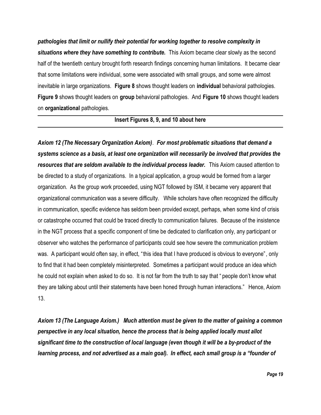*pathologies that limit or nullify their potential for working together to resolve complexity in situations where they have something to contribute.*This Axiom became clear slowly as the second half of the twentieth century brought forth research findings concerning human limitations. It became clear that some limitations were individual, some were associated with small groups, and some were almost inevitable in large organizations. **Figure 8** shows thought leaders on **individual** behavioral pathologies. **Figure 9** shows thought leaders on **group** behavioral pathologies. And **Figure 10** shows thought leaders on **organizational** pathologies.

## **Insert Figures 8, 9, and 10 about here**

*Axiom 12 (The Necessary Organization Axiom). For most problematic situations that demand a systems science as a basis, at least one organization will necessarily be involved that provides the resources that are seldom available to the individual process leader.* This Axiom caused attention to be directed to a study of organizations. In a typical application, a group would be formed from a larger organization. As the group work proceeded, using NGT followed by ISM, it became very apparent that organizational communication was a severe difficulty. While scholars have often recognized the difficulty in communication, specific evidence has seldom been provided except, perhaps, when some kind of crisis or catastrophe occurred that could be traced directly to communication failures. Because of the insistence in the NGT process that a specific component of time be dedicated to clarification only, any participant or observer who watches the performance of participants could see how severe the communication problem was. A participant would often say, in effect, "this idea that I have produced is obvious to everyone", only to find that it had been completely misinterpreted. Sometimes a participant would produce an idea which he could not explain when asked to do so. It is not far from the truth to say that " people don't know what they are talking about until their statements have been honed through human interactions." Hence, Axiom 13.

*Axiom 13 (The Language Axiom.) Much attention must be given to the matter of gaining a common perspective in any local situation, hence the process that is being applied locally must allot significant time to the construction of local language (even though it will be a by-product of the learning process, and not advertised as a main goal). In effect, each small group is a "founder of*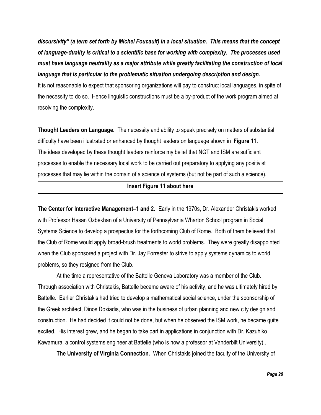*discursivity" (a term set forth by Michel Foucault) in a local situation. This means that the concept of language-duality is critical to a scientific base for working with complexity. The processes used must have language neutrality as a major attribute while greatly facilitating the construction of local language that is particular to the problematic situation undergoing description and design.* 

It is not reasonable to expect that sponsoring organizations will pay to construct local languages, in spite of the necessity to do so. Hence linguistic constructions must be a by-product of the work program aimed at resolving the complexity.

**Thought Leaders on Language.** The necessity and ability to speak precisely on matters of substantial difficulty have been illustrated or enhanced by thought leaders on language shown in **Figure 11.** The ideas developed by these thought leaders reinforce my belief that NGT and ISM are sufficient processes to enable the necessary local work to be carried out preparatory to applying any positivist processes that may lie within the domain of a science of systems (but not be part of such a science).

### **Insert Figure 11 about here**

**The Center for Interactive Management–1 and 2.** Early in the 1970s, Dr. Alexander Christakis worked with Professor Hasan Ozbekhan of a University of Pennsylvania Wharton School program in Social Systems Science to develop a prospectus for the forthcoming Club of Rome. Both of them believed that the Club of Rome would apply broad-brush treatments to world problems. They were greatly disappointed when the Club sponsored a project with Dr. Jay Forrester to strive to apply systems dynamics to world problems, so they resigned from the Club.

At the time a representative of the Battelle Geneva Laboratory was a member of the Club. Through association with Christakis, Battelle became aware of his activity, and he was ultimately hired by Battelle. Earlier Christakis had tried to develop a mathematical social science, under the sponsorship of the Greek architect, Dinos Doxiadis, who was in the business of urban planning and new city design and construction. He had decided it could not be done, but when he observed the ISM work, he became quite excited. His interest grew, and he began to take part in applications in conjunction with Dr. Kazuhiko Kawamura, a control systems engineer at Battelle (who is now a professor at Vanderbilt University)..

**The University of Virginia Connection.** When Christakis joined the faculty of the University of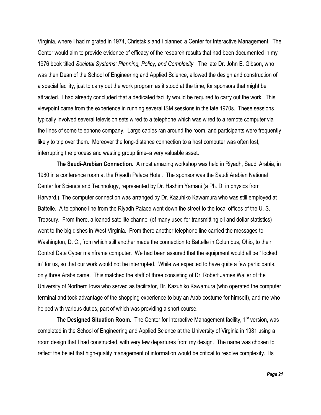Virginia, where I had migrated in 1974, Christakis and I planned a Center for Interactive Management. The Center would aim to provide evidence of efficacy of the research results that had been documented in my 1976 book titled *Societal Systems: Planning, Policy, and Complexity.* The late Dr. John E. Gibson, who was then Dean of the School of Engineering and Applied Science, allowed the design and construction of a special facility, just to carry out the work program as it stood at the time, for sponsors that might be attracted. I had already concluded that a dedicated facility would be required to carry out the work. This viewpoint came from the experience in running several ISM sessions in the late 1970s. These sessions typically involved several television sets wired to a telephone which was wired to a remote computer via the lines of some telephone company. Large cables ran around the room, and participants were frequently likely to trip over them. Moreover the long-distance connection to a host computer was often lost, interrupting the process and wasting group time–a very valuable asset.

**The Saudi-Arabian Connection.** A most amazing workshop was held in Riyadh, Saudi Arabia, in 1980 in a conference room at the Riyadh Palace Hotel. The sponsor was the Saudi Arabian National Center for Science and Technology, represented by Dr. Hashim Yamani (a Ph. D. in physics from Harvard.) The computer connection was arranged by Dr. Kazuhiko Kawamura who was still employed at Battelle. A telephone line from the Riyadh Palace went down the street to the local offices of the U. S. Treasury. From there, a loaned satellite channel (of many used for transmitting oil and dollar statistics) went to the big dishes in West Virginia. From there another telephone line carried the messages to Washington, D. C., from which still another made the connection to Battelle in Columbus, Ohio, to their Control Data Cyber mainframe computer. We had been assured that the equipment would all be " locked in" for us, so that our work would not be interrupted. While we expected to have quite a few participants, only three Arabs came. This matched the staff of three consisting of Dr. Robert James Waller of the University of Northern Iowa who served as facilitator, Dr. Kazuhiko Kawamura (who operated the computer terminal and took advantage of the shopping experience to buy an Arab costume for himself), and me who helped with various duties, part of which was providing a short course.

The Designed Situation Room. The Center for Interactive Management facility, 1<sup>st</sup> version, was completed in the School of Engineering and Applied Science at the University of Virginia in 1981 using a room design that I had constructed, with very few departures from my design. The name was chosen to reflect the belief that high-quality management of information would be critical to resolve complexity. Its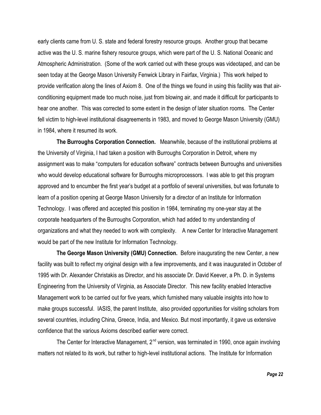early clients came from U. S. state and federal forestry resource groups. Another group that became active was the U. S. marine fishery resource groups, which were part of the U. S. National Oceanic and Atmospheric Administration. (Some of the work carried out with these groups was videotaped, and can be seen today at the George Mason University Fenwick Library in Fairfax, Virginia.) This work helped to provide verification along the lines of Axiom 8. One of the things we found in using this facility was that airconditioning equipment made too much noise, just from blowing air, and made it difficult for participants to hear one another. This was corrected to some extent in the design of later situation rooms. The Center fell victim to high-level institutional disagreements in 1983, and moved to George Mason University (GMU) in 1984, where it resumed its work.

**The Burroughs Corporation Connection.** Meanwhile, because of the institutional problems at the University of Virginia, I had taken a position with Burroughs Corporation in Detroit, where my assignment was to make "computers for education software" contracts between Burroughs and universities who would develop educational software for Burroughs microprocessors. I was able to get this program approved and to encumber the first year's budget at a portfolio of several universities, but was fortunate to learn of a position opening at George Mason University for a director of an Institute for Information Technology. I was offered and accepted this position in 1984, terminating my one-year stay at the corporate headquarters of the Burroughs Corporation, which had added to my understanding of organizations and what they needed to work with complexity. A new Center for Interactive Management would be part of the new Institute for Information Technology.

**The George Mason University (GMU) Connection.** Before inaugurating the new Center, a new facility was built to reflect my original design with a few improvements, and it was inaugurated in October of 1995 with Dr. Alexander Christakis as Director, and his associate Dr. David Keever, a Ph. D. in Systems Engineering from the University of Virginia, as Associate Director. This new facility enabled Interactive Management work to be carried out for five years, which furnished many valuable insights into how to make groups successful. IASIS, the parent Institute, also provided opportunities for visiting scholars from several countries, including China, Greece, India, and Mexico. But most importantly, it gave us extensive confidence that the various Axioms described earlier were correct.

The Center for Interactive Management,  $2<sup>nd</sup>$  version, was terminated in 1990, once again involving matters not related to its work, but rather to high-level institutional actions. The Institute for Information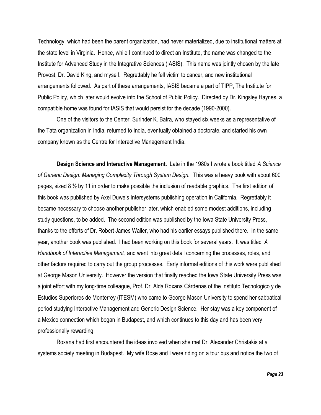Technology, which had been the parent organization, had never materialized, due to institutional matters at the state level in Virginia. Hence, while I continued to direct an Institute, the name was changed to the Institute for Advanced Study in the Integrative Sciences (IASIS). This name was jointly chosen by the late Provost, Dr. David King, and myself. Regrettably he fell victim to cancer, and new institutional arrangements followed. As part of these arrangements, IASIS became a part of TIPP, The Institute for Public Policy, which later would evolve into the School of Public Policy. Directed by Dr. Kingsley Haynes, a compatible home was found for IASIS that would persist for the decade (1990-2000).

One of the visitors to the Center, Surinder K. Batra, who stayed six weeks as a representative of the Tata organization in India, returned to India, eventually obtained a doctorate, and started his own company known as the Centre for Interactive Management India.

**Design Science and Interactive Management.** Late in the 1980s I wrote a book titled *A Science of Generic Design: Managing Complexity Through System Design.* This was a heavy book with about 600 pages, sized 8  $\frac{1}{2}$  by 11 in order to make possible the inclusion of readable graphics. The first edition of this book was published by Axel Duwe's Intersystems publishing operation in California. Regrettably it became necessary to choose another publisher later, which enabled some modest additions, including study questions, to be added. The second edition was published by the Iowa State University Press, thanks to the efforts of Dr. Robert James Waller, who had his earlier essays published there. In the same year, another book was published. I had been working on this book for several years. It was titled *A Handbook of Interactive Management*, and went into great detail concerning the processes, roles, and other factors required to carry out the group processes. Early informal editions of this work were published at George Mason University. However the version that finally reached the Iowa State University Press was a joint effort with my long-time colleague, Prof. Dr. Alda Roxana Cárdenas of the Instituto Tecnologico y de Estudios Superiores de Monterrey (ITESM) who came to George Mason University to spend her sabbatical period studying Interactive Management and Generic Design Science. Her stay was a key component of a Mexico connection which began in Budapest, and which continues to this day and has been very professionally rewarding.

Roxana had first encountered the ideas involved when she met Dr. Alexander Christakis at a systems society meeting in Budapest. My wife Rose and I were riding on a tour bus and notice the two of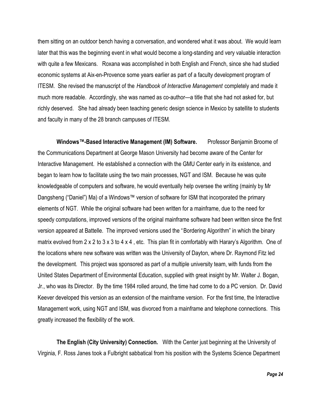them sitting on an outdoor bench having a conversation, and wondered what it was about. We would learn later that this was the beginning event in what would become a long-standing and very valuable interaction with quite a few Mexicans. Roxana was accomplished in both English and French, since she had studied economic systems at Aix-en-Provence some years earlier as part of a faculty development program of ITESM. She revised the manuscript of the *Handbook of Interactive Management* completely and made it much more readable. Accordingly, she was named as co-author—a title that she had not asked for, but richly deserved. She had already been teaching generic design science in Mexico by satellite to students and faculty in many of the 28 branch campuses of ITESM.

Windows™-Based Interactive Management (IM) Software. Professor Benjamin Broome of the Communications Department at George Mason University had become aware of the Center for Interactive Management. He established a connection with the GMU Center early in its existence, and began to learn how to facilitate using the two main processes, NGT and ISM. Because he was quite knowledgeable of computers and software, he would eventually help oversee the writing (mainly by Mr Dangsheng ("Daniel") Ma) of a Windows™ version of software for ISM that incorporated the primary elements of NGT. While the original software had been written for a mainframe, due to the need for speedy computations, improved versions of the original mainframe software had been written since the first version appeared at Battelle. The improved versions used the "Bordering Algorithm" in which the binary matrix evolved from 2 x 2 to 3 x 3 to 4 x 4 , etc. This plan fit in comfortably with Harary's Algorithm. One of the locations where new software was written was the University of Dayton, where Dr. Raymond Fitz led the development. This project was sponsored as part of a multiple university team, with funds from the United States Department of Environmental Education, supplied with great insight by Mr. Walter J. Bogan, Jr., who was its Director. By the time 1984 rolled around, the time had come to do a PC version. Dr. David Keever developed this version as an extension of the mainframe version. For the first time, the Interactive Management work, using NGT and ISM, was divorced from a mainframe and telephone connections. This greatly increased the flexibility of the work.

**The English (City University) Connection.** With the Center just beginning at the University of Virginia, F. Ross Janes took a Fulbright sabbatical from his position with the Systems Science Department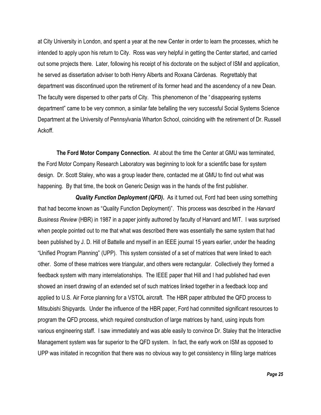at City University in London, and spent a year at the new Center in order to learn the processes, which he intended to apply upon his return to City. Ross was very helpful in getting the Center started, and carried out some projects there. Later, following his receipt of his doctorate on the subject of ISM and application, he served as dissertation adviser to both Henry Alberts and Roxana Cárdenas. Regrettably that department was discontinued upon the retirement of its former head and the ascendency of a new Dean. The faculty were dispersed to other parts of City. This phenomenon of the " disappearing systems department" came to be very common, a similar fate befalling the very successful Social Systems Science Department at the University of Pennsylvania Wharton School, coinciding with the retirement of Dr. Russell Ackoff.

**The Ford Motor Company Connection.** At about the time the Center at GMU was terminated, the Ford Motor Company Research Laboratory was beginning to look for a scientific base for system design. Dr. Scott Staley, who was a group leader there, contacted me at GMU to find out what was happening. By that time, the book on Generic Design was in the hands of the first publisher.

*Quality Function Deployment (QFD)***.** As it turned out, Ford had been using something that had become known as "Quality Function Deployment)". This process was described in the *Harvard Business Review* (HBR) in 1987 in a paper jointly authored by faculty of Harvard and MIT. I was surprised when people pointed out to me that what was described there was essentially the same system that had been published by J. D. Hill of Battelle and myself in an IEEE journal 15 years earlier, under the heading "Unified Program Planning" (UPP). This system consisted of a set of matrices that were linked to each other. Some of these matrices were triangular, and others were rectangular. Collectively they formed a feedback system with many interrelationships. The IEEE paper that Hill and I had published had even showed an insert drawing of an extended set of such matrices linked together in a feedback loop and applied to U.S. Air Force planning for a VSTOL aircraft. The HBR paper attributed the QFD process to Mitsubishi Shipyards. Under the influence of the HBR paper, Ford had committed significant resources to program the QFD process, which required construction of large matrices by hand, using inputs from various engineering staff. I saw immediately and was able easily to convince Dr. Staley that the Interactive Management system was far superior to the QFD system. In fact, the early work on ISM as opposed to UPP was initiated in recognition that there was no obvious way to get consistency in filling large matrices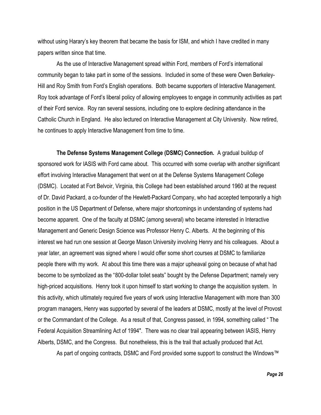without using Harary's key theorem that became the basis for ISM, and which I have credited in many papers written since that time.

As the use of Interactive Management spread within Ford, members of Ford's international community began to take part in some of the sessions. Included in some of these were Owen Berkeley-Hill and Roy Smith from Ford's English operations. Both became supporters of Interactive Management. Roy took advantage of Ford's liberal policy of allowing employees to engage in community activities as part of their Ford service. Roy ran several sessions, including one to explore declining attendance in the Catholic Church in England. He also lectured on Interactive Management at City University. Now retired, he continues to apply Interactive Management from time to time.

**The Defense Systems Management College (DSMC) Connection.** A gradual buildup of sponsored work for IASIS with Ford came about. This occurred with some overlap with another significant effort involving Interactive Management that went on at the Defense Systems Management College (DSMC). Located at Fort Belvoir, Virginia, this College had been established around 1960 at the request of Dr. David Packard, a co-founder of the Hewlett-Packard Company, who had accepted temporarily a high position in the US Department of Defense, where major shortcomings in understanding of systems had become apparent. One of the faculty at DSMC (among several) who became interested in Interactive Management and Generic Design Science was Professor Henry C. Alberts. At the beginning of this interest we had run one session at George Mason University involving Henry and his colleagues. About a year later, an agreement was signed where I would offer some short courses at DSMC to familiarize people there with my work. At about this time there was a major upheaval going on because of what had become to be symbolized as the "800-dollar toilet seats" bought by the Defense Department; namely very high-priced acquisitions. Henry took it upon himself to start working to change the acquisition system. In this activity, which ultimately required five years of work using Interactive Management with more than 300 program managers, Henry was supported by several of the leaders at DSMC, mostly at the level of Provost or the Commandant of the College. As a result of that, Congress passed, in 1994, something called " The Federal Acquisition Streamlining Act of 1994". There was no clear trail appearing between IASIS, Henry Alberts, DSMC, and the Congress. But nonetheless, this is the trail that actually produced that Act.

As part of ongoing contracts, DSMC and Ford provided some support to construct the Windows™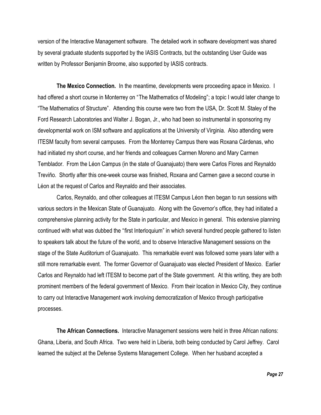version of the Interactive Management software. The detailed work in software development was shared by several graduate students supported by the IASIS Contracts, but the outstanding User Guide was written by Professor Benjamin Broome, also supported by IASIS contracts.

**The Mexico Connection.** In the meantime, developments were proceeding apace in Mexico. I had offered a short course in Monterrey on "The Mathematics of Modeling"; a topic I would later change to "The Mathematics of Structure". Attending this course were two from the USA, Dr. Scott M. Staley of the Ford Research Laboratories and Walter J. Bogan, Jr., who had been so instrumental in sponsoring my developmental work on ISM software and applications at the University of Virginia. Also attending were ITESM faculty from several campuses. From the Monterrey Campus there was Roxana Cárdenas, who had initiated my short course, and her friends and colleagues Carmen Moreno and Mary Carmen Temblador. From the Léon Campus (in the state of Guanajuato) there were Carlos Flores and Reynaldo Treviño. Shortly after this one-week course was finished, Roxana and Carmen gave a second course in Léon at the request of Carlos and Reynaldo and their associates.

Carlos, Reynaldo, and other colleagues at ITESM Campus Léon then began to run sessions with various sectors in the Mexican State of Guanajuato. Along with the Governor's office, they had initiated a comprehensive planning activity for the State in particular, and Mexico in general. This extensive planning continued with what was dubbed the "first Interloquium" in which several hundred people gathered to listen to speakers talk about the future of the world, and to observe Interactive Management sessions on the stage of the State Auditorium of Guanajuato. This remarkable event was followed some years later with a still more remarkable event. The former Governor of Guanajuato was elected President of Mexico. Earlier Carlos and Reynaldo had left ITESM to become part of the State government. At this writing, they are both prominent members of the federal government of Mexico. From their location in Mexico City, they continue to carry out Interactive Management work involving democratization of Mexico through participative processes.

**The African Connections.** Interactive Management sessions were held in three African nations: Ghana, Liberia, and South Africa. Two were held in Liberia, both being conducted by Carol Jeffrey. Carol learned the subject at the Defense Systems Management College. When her husband accepted a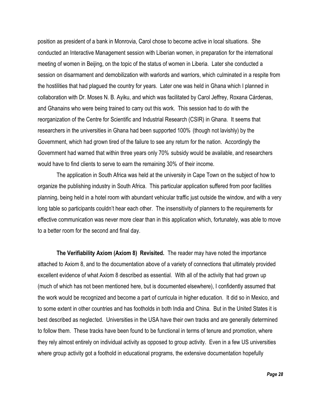position as president of a bank in Monrovia, Carol chose to become active in local situations. She conducted an Interactive Management session with Liberian women, in preparation for the international meeting of women in Beijing, on the topic of the status of women in Liberia. Later she conducted a session on disarmament and demobilization with warlords and warriors, which culminated in a respite from the hostilities that had plagued the country for years. Later one was held in Ghana which I planned in collaboration with Dr. Moses N. B. Ayiku, and which was facilitated by Carol Jeffrey, Roxana Cárdenas, and Ghanains who were being trained to carry out this work. This session had to do with the reorganization of the Centre for Scientific and Industrial Research (CSIR) in Ghana. It seems that researchers in the universities in Ghana had been supported 100% (though not lavishly) by the Government, which had grown tired of the failure to see any return for the nation. Accordingly the Government had warned that within three years only 70% subsidy would be available, and researchers would have to find clients to serve to earn the remaining 30% of their income.

The application in South Africa was held at the university in Cape Town on the subject of how to organize the publishing industry in South Africa. This particular application suffered from poor facilities planning, being held in a hotel room with abundant vehicular traffic just outside the window, and with a very long table so participants couldn't hear each other. The insensitivity of planners to the requirements for effective communication was never more clear than in this application which, fortunately, was able to move to a better room for the second and final day.

**The Verifiability Axiom (Axiom 8) Revisited.** The reader may have noted the importance attached to Axiom 8, and to the documentation above of a variety of connections that ultimately provided excellent evidence of what Axiom 8 described as essential. With all of the activity that had grown up (much of which has not been mentioned here, but is documented elsewhere), I confidently assumed that the work would be recognized and become a part of curricula in higher education. It did so in Mexico, and to some extent in other countries and has footholds in both India and China. But in the United States it is best described as neglected. Universities in the USA have their own tracks and are generally determined to follow them. These tracks have been found to be functional in terms of tenure and promotion, where they rely almost entirely on individual activity as opposed to group activity. Even in a few US universities where group activity got a foothold in educational programs, the extensive documentation hopefully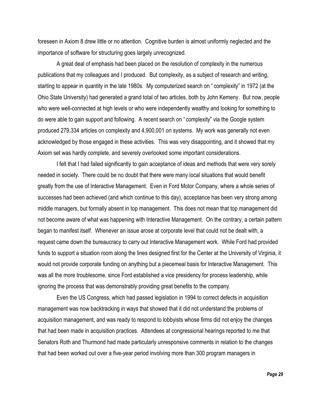foreseen in Axiom 8 drew little or no attention. Cognitive burden is almost uniformly neglected and the importance of software for structuring goes largely unrecognized.

A great deal of emphasis had been placed on the resolution of complexity in the numerous publications that my colleagues and I produced. But complexity, as a subject of research and writing, starting to appear in quantity in the late 1980s. My computerized search on " complexity" in 1972 (at the Ohio State University) had generated a grand total of two articles, both by John Kemeny. But now, people who were well-connected at high levels or who were independently wealthy and looking for something to do were able to gain support and following. A recent search on " complexity" via the Google system produced 279,334 articles on complexity and 4,900,001 on systems. My work was generally not even acknowledged by those engaged in these activities. This was very disappointing, and it showed that my Axiom set was hardly complete, and severely overlooked some important considerations.

I felt that I had failed significantly to gain acceptance of ideas and methods that were very sorely needed in society. There could be no doubt that there were many local situations that would benefit greatly from the use of Interactive Management. Even in Ford Motor Company, where a whole series of successes had been achieved (and which continue to this day), acceptance has been very strong among middle managers, but formally absent in top management. This does not mean that top management did not become aware of what was happening with Interactive Management. On the contrary, a certain pattern began to manifest itself. Whenever an issue arose at corporate level that could not be dealt with, a request came down the bureaucracy to carry out Interactive Management work. While Ford had provided funds to support a situation room along the lines designed first for the Center at the University of Virginia, it would not provide corporate funding on anything but a piecemeal basis for Interactive Management. This was all the more troublesome, since Ford established a vice presidency for process leadership, while ignoring the process that was demonstrably providing great benefits to the company.

Even the US Congress, which had passed legislation in 1994 to correct defects in acquisition management was now backtracking in ways that showed that it did not understand the problems of acquisition management, and was ready to respond to lobbyists whose firms did not enjoy the changes that had been made in acquisition practices. Attendees at congressional hearings reported to me that Senators Roth and Thurmond had made particularly unresponsive comments in relation to the changes that had been worked out over a five-year period involving more than 300 program managers in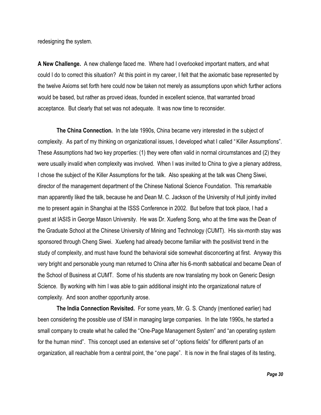redesigning the system.

**A New Challenge.** A new challenge faced me. Where had I overlooked important matters, and what could I do to correct this situation? At this point in my career, I felt that the axiomatic base represented by the twelve Axioms set forth here could now be taken not merely as assumptions upon which further actions would be based, but rather as proved ideas, founded in excellent science, that warranted broad acceptance. But clearly that set was not adequate. It was now time to reconsider.

**The China Connection.** In the late 1990s, China became very interested in the s ubject of complexity. As part of my thinking on organizational issues, I developed what I called " Killer Assumptions". These Assumptions had two key properties: (1) they were often valid in normal circumstances and (2) they were usually invalid when complexity was involved. When I was invited to China to give a plenary address, I chose the subject of the Killer Assumptions for the talk. Also speaking at the talk was Cheng Siwei, director of the management department of the Chinese National Science Foundation. This remarkable man apparently liked the talk, because he and Dean M. C. Jackson of the University of Hull jointly invited me to present again in Shanghai at the ISSS Conference in 2002. But before that took place, I had a guest at IASIS in George Mason University. He was Dr. Xuefeng Song, who at the time was the Dean of the Graduate School at the Chinese University of Mining and Technology (CUMT). His six-month stay was sponsored through Cheng Siwei. Xuefeng had already become familiar with the positivist trend in the study of complexity, and must have found the behavioral side somewhat disconcerting at first. Anyway this very bright and personable young man returned to China after his 6-month sabbatical and became Dean of the School of Business at CUMT. Some of his students are now translating my book on Generic Design Science. By working with him I was able to gain additional insight into the organizational nature of complexity. And soon another opportunity arose.

**The India Connection Revisited.** For some years, Mr. G. S. Chandy (mentioned earlier) had been considering the possible use of ISM in managing large companies. In the late 1990s, he started a small company to create what he called the "One-Page Management System" and "an operating system for the human mind". This concept used an extensive set of "options fields" for different parts of an organization, all reachable from a central point, the "one page". It is now in the final stages of its testing,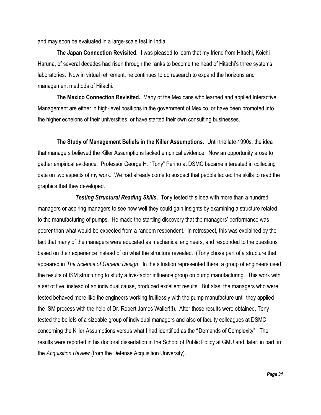and may soon be evaluated in a large-scale test in India.

**The Japan Connection Revisited.** I was pleased to learn that my friend from HItachi, Koichi Haruna, of several decades had risen through the ranks to become the head of Hitachi's three systems laboratories. Now in virtual retirement, he continues to do research to expand the horizons and management methods of Hitachi.

**The Mexico Connection Revisited.** Many of the Mexicans who learned and applied Interactive Management are either in high-level positions in the government of Mexico, or have been promoted into the higher echelons of their universities, or have started their own consulting businesses.

**The Study of Management Beliefs in the Killer Assumptions.** Until the late 1990s, the idea that managers believed the Killer Assumptions lacked empirical evidence. Now an opportunity arose to gather empirical evidence. Professor George H. "Tony" Perino at DSMC became interested in collecting data on two aspects of my work. We had already come to suspect that people lacked the skills to read the graphics that they developed.

*Testing Structural Reading Skills***.** Tony tested this idea with more than a hundred managers or aspiring managers to see how well they could gain insights by examining a structure related to the manufacturing of pumps. He made the startling discovery that the managers' performance was poorer than what would be expected from a random respondent. In retrospect, this was explained by the fact that many of the managers were educated as mechanical engineers, and responded to the questions based on their experience instead of on what the structure revealed. (Tony chose part of a structure that appeared in *The Science of Generic Design*. In the situation represented there, a group of engineers used the results of ISM structuring to study a five-factor influence group on pump manufacturing. This work with a set of five, instead of an individual cause, produced excellent results. But alas, the managers who were tested behaved more like the engineers working fruitlessly with the pump manufacture until they applied the ISM process with the help of Dr. Robert James Waller!!!). After those results were obtained, Tony tested the beliefs of a sizeable group of individual managers and also of faculty colleagues at DSMC concerning the Killer Assumptions versus what I had identified as the "Demands of Complexity". The results were reported in his doctoral dissertation in the School of Public Policy at GMU and, later, in part, in the *Acquisition Review* (from the Defense Acquisition University).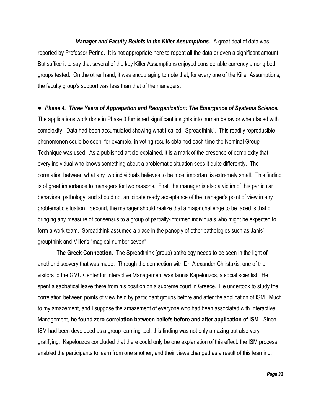*Manager and Faculty Beliefs in the Killer Assumptions.* A great deal of data was reported by Professor Perino. It is not appropriate here to repeat all the data or even a significant amount. But suffice it to say that several of the key Killer Assumptions enjoyed considerable currency among both groups tested. On the other hand, it was encouraging to note that, for every one of the Killer Assumptions, the faculty group's support was less than that of the managers.

●*Phase 4. Three Years of Aggregation and Reorganization: The Emergence of Systems Science.*  The applications work done in Phase 3 furnished significant insights into human behavior when faced with complexity. Data had been accumulated showing what I called "Spreadthink". This readily reproducible phenomenon could be seen, for example, in voting results obtained each time the Nominal Group Technique was used. As a published article explained, it is a mark of the presence of complexity that every individual who knows something about a problematic situation sees it quite differently. The correlation between what any two individuals believes to be most important is extremely small. This finding is of great importance to managers for two reasons. First, the manager is also a victim of this particular behavioral pathology, and should not anticipate ready acceptance of the manager's point of view in any problematic situation. Second, the manager should realize that a major challenge to be faced is that of bringing any measure of consensus to a group of partially-informed individuals who might be expected to form a work team. Spreadthink assumed a place in the panoply of other pathologies such as Janis' groupthink and Miller's "magical number seven".

**The Greek Connection.** The Spreadthink (group) pathology needs to be seen in the light of another discovery that was made. Through the connection with Dr. Alexander Christakis, one of the visitors to the GMU Center for Interactive Management was Iannis Kapelouzos, a social scientist. He spent a sabbatical leave there from his position on a supreme court in Greece. He undertook to study the correlation between points of view held by participant groups before and after the application of ISM. Much to my amazement, and I suppose the amazement of everyone who had been associated with Interactive Management, **he found zero correlation between beliefs before and after application of ISM**. Since ISM had been developed as a group learning tool, this finding was not only amazing but also very gratifying. Kapelouzos concluded that there could only be one explanation of this effect: the ISM process enabled the participants to learn from one another, and their views changed as a result of this learning.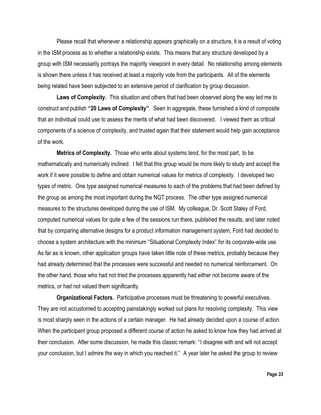Please recall that whenever a relationship appears graphically on a structure, it is a result of voting in the ISM process as to whether a relationship exists. This means that any structure developed by a group with ISM necessarily portrays the majority viewpoint in every detail. No relationship among elements is shown there unless it has received at least a majority vote from the participants. All of the elements being related have been subjected to an extensive period of clarification by group discussion.

**Laws of Complexity.** This situation and others that had been observed along the way led me to construct and publish **"20 Laws of Complexity"**. Seen in aggregate, these furnished a kind of composite that an individual could use to assess the merits of what had been discovered. I viewed them as critical components of a science of complexity, and trusted again that their statement would help gain acceptance of the work.

**Metrics of Complexity.** Those who write about systems tend, for the most part, to be mathematically and numerically inclined. I felt that this group would be more likely to study and accept the work if it were possible to define and obtain numerical values for metrics of complexity. I developed two types of metric. One type assigned numerical measures to each of the problems that had been defined by the group as among the most important during the NGT process. The other type assigned numerical measures to the structures developed during the use of ISM. My colleague, Dr. Scott Staley of Ford, computed numerical values for quite a few of the sessions run there, published the results, and later noted that by comparing alternative designs for a product information management system, Ford had decided to choose a system architecture with the minimum "Situational Complexity Index" for its corporate-wide use. As far as is known, other application groups have taken little note of these metrics, probably because they had already determined that the processes were successful and needed no numerical reinforcement. On the other hand, those who had not tried the processes apparently had either not become aware of the metrics, or had not valued them significantly.

**Organizational Factors.** Participative processes must be threatening to powerful executives. They are not accustomed to accepting painstakingly worked out plans for resolving complexity. This view is most sharply seen in the actions of a certain manager. He had already decided upon a course of action. When the participant group proposed a different course of action he asked to know how they had arrived at their conclusion. After some discussion, he made this classic remark: "I disagree with and will not accept your conclusion, but I admire the way in which you reached it." A year later he asked the group to review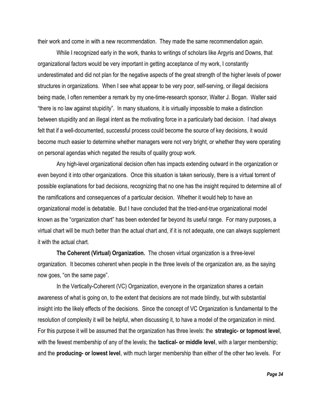their work and come in with a new recommendation. They made the same recommendation again.

While I recognized early in the work, thanks to writings of scholars like Argyris and Downs, that organizational factors would be very important in getting acceptance of my work, I constantly underestimated and did not plan for the negative aspects of the great strength of the higher levels of power structures in organizations. When I see what appear to be very poor, self-serving, or illegal decisions being made, I often remember a remark by my one-time-research sponsor, Walter J. Bogan. Walter said "there is no law against stupidity". In many situations, it is virtually impossible to make a distinction between stupidity and an illegal intent as the motivating force in a particularly bad decision. I had always felt that if a well-documented, successful process could become the source of key decisions, it would become much easier to determine whether managers were not very bright, or whether they were operating on personal agendas which negated the results of quality group work.

Any high-level organizational decision often has impacts extending outward in the organization or even beyond it into other organizations. Once this situation is taken seriously, there is a virtual torrent of possible explanations for bad decisions, recognizing that no one has the insight required to determine all of the ramifications and consequences of a particular decision. Whether it would help to have an organizational model is debatable. But I have concluded that the tried-and-true organizational model known as the "organization chart" has been extended far beyond its useful range. For many purposes, a virtual chart will be much better than the actual chart and, if it is not adequate, one can always supplement it with the actual chart.

**The Coherent (Virtual) Organization.** The chosen virtual organization is a three-level organization. It becomes coherent when people in the three levels of the organization are, as the saying now goes, "on the same page".

In the Vertically-Coherent (VC) Organization, everyone in the organization shares a certain awareness of what is going on, to the extent that decisions are not made blindly, but with substantial insight into the likely effects of the decisions. Since the concept of VC Organization is fundamental to the resolution of complexity it will be helpful, when discussing it, to have a model of the organization in mind. For this purpose it will be assumed that the organization has three levels: the **strategic- or topmost level**, with the fewest membership of any of the levels; the **tactical- or middle level**, with a larger membership; and the **producing- or lowest level**, with much larger membership than either of the other two levels. For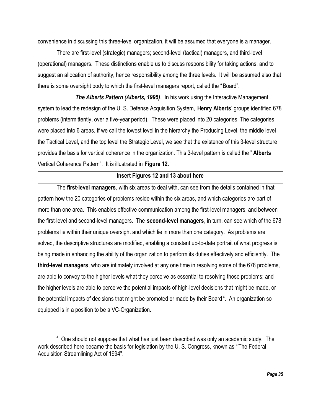convenience in discussing this three-level organization, it will be assumed that everyone is a manager.

There are first-level (strategic) managers; second-level (tactical) managers, and third-level (operational) managers. These distinctions enable us to discuss responsibility for taking actions, and to suggest an allocation of authority, hence responsibility among the three levels. It will be assumed also that there is some oversight body to which the first-level managers report, called the "Board".

*The Alberts Pattern (Alberts, 1995).* In his work using the Interactive Management system to lead the redesign of the U. S. Defense Acquisition System, **Henry Alberts**' groups identified 678 problems (intermittently, over a five-year period). These were placed into 20 categories. The categories were placed into 6 areas. If we call the lowest level in the hierarchy the Producing Level, the middle level the Tactical Level, and the top level the Strategic Level, we see that the existence of this 3-level structure provides the basis for vertical coherence in the organization. This 3-level pattern is called the " **Alberts** Vertical Coherence Pattern". It is illustrated in **Figure 12.**

## **Insert Figures 12 and 13 about here**

The **first-level managers**, with six areas to deal with, can see from the details contained in that pattern how the 20 categories of problems reside within the six areas, and which categories are part of more than one area. This enables effective communication among the first-level managers, and between the first-level and second-level managers. The **second-level managers**, in turn, can see which of the 678 problems lie within their unique oversight and which lie in more than one category. As problems are solved, the descriptive structures are modified, enabling a constant up-to-date portrait of what progress is being made in enhancing the ability of the organization to perform its duties effectively and efficiently. The **third-level managers**, who are intimately involved at any one time in resolving some of the 678 problems, are able to convey to the higher levels what they perceive as essential to resolving those problems; and the higher levels are able to perceive the potential impacts of high-level decisions that might be made, or the potential impacts of decisions that might be promoted or made by their Board<sup>4</sup>. An organization so equipped is in a position to be a VC-Organization.

<sup>&</sup>lt;sup>4</sup> One should not suppose that what has just been described was only an academic study. The work described here became the basis for legislation by the U. S. Congress, known as " The Federal Acquisition Streamlining Act of 1994".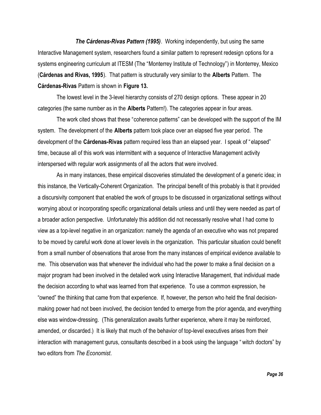*The Cárdenas-Rivas Pattern (1995)*. Working independently, but using the same Interactive Management system, researchers found a similar pattern to represent redesign options for a systems engineering curriculum at ITESM (The "Monterrey Institute of Technology") in Monterrey, Mexico (**Cárdenas and Rivas, 1995**). That pattern is structurally very similar to the **Alberts** Pattern. The **Cárdenas-Rivas** Pattern is shown in **Figure 13.**

The lowest level in the 3-level hierarchy consists of 270 design options. These appear in 20 categories (the same number as in the **Alberts** Pattern!). The categories appear in four areas.

The work cited shows that these "coherence patterns" can be developed with the support of the IM system. The development of the **Alberts** pattern took place over an elapsed five year period. The development of the **Cárdenas-Rivas** pattern required less than an elapsed year. I speak of "elapsed" time, because all of this work was intermittent with a sequence of Interactive Management activity interspersed with regular work assignments of all the actors that were involved.

As in many instances, these empirical discoveries stimulated the development of a generic idea; in this instance, the Vertically-Coherent Organization. The principal benefit of this probably is that it provided a discursivity component that enabled the work of groups to be discussed in organizational settings without worrying about or incorporating specific organizational details unless and until they were needed as part of a broader action perspective. Unfortunately this addition did not necessarily resolve what I had come to view as a top-level negative in an organization: namely the agenda of an executive who was not prepared to be moved by careful work done at lower levels in the organization. This particular situation could benefit from a small number of observations that arose from the many instances of empirical evidence available to me. This observation was that whenever the individual who had the power to make a final decision on a major program had been involved in the detailed work using Interactive Management, that individual made the decision according to what was learned from that experience. To use a common expression, he "owned" the thinking that came from that experience. If, however, the person who held the final decisionmaking power had not been involved, the decision tended to emerge from the prior agenda, and everything else was window-dressing. (This generalization awaits further experience, where it may be reinforced, amended, or discarded.) It is likely that much of the behavior of top-level executives arises from their interaction with management gurus, consultants described in a book using the language " witch doctors" by two editors from *The Economist*.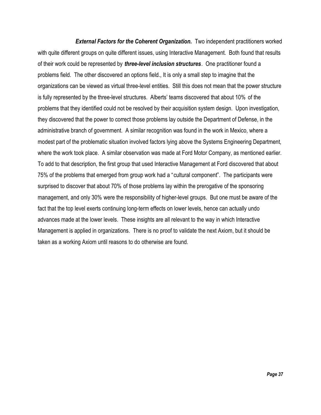*External Factors for the Coherent Organization.* Two independent practitioners worked with quite different groups on quite different issues, using Interactive Management. Both found that results of their work could be represented by *three-level inclusion structures*. One practitioner found a problems field. The other discovered an options field., It is only a small step to imagine that the organizations can be viewed as virtual three-level entities. Still this does not mean that the power structure is fully represented by the three-level structures. Alberts' teams discovered that about 10% of the problems that they identified could not be resolved by their acquisition system design. Upon investigation, they discovered that the power to correct those problems lay outside the Department of Defense, in the administrative branch of government. A similar recognition was found in the work in Mexico, where a modest part of the problematic situation involved factors lying above the Systems Engineering Department, where the work took place. A similar observation was made at Ford Motor Company, as mentioned earlier. To add to that description, the first group that used Interactive Management at Ford discovered that about 75% of the problems that emerged from group work had a "cultural component". The participants were surprised to discover that about 70% of those problems lay within the prerogative of the sponsoring management, and only 30% were the responsibility of higher-level groups. But one must be aware of the fact that the top level exerts continuing long-term effects on lower levels, hence can actually undo advances made at the lower levels. These insights are all relevant to the way in which Interactive Management is applied in organizations. There is no proof to validate the next Axiom, but it should be taken as a working Axiom until reasons to do otherwise are found.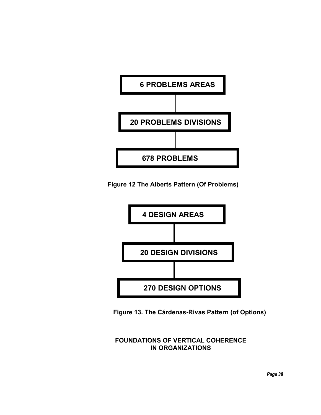

**Figure 12 The Alberts Pattern (Of Problems)**



**Figure 13. The Cárdenas-Rivas Pattern (of Options)**

## **FOUNDATIONS OF VERTICAL COHERENCE IN ORGANIZATIONS**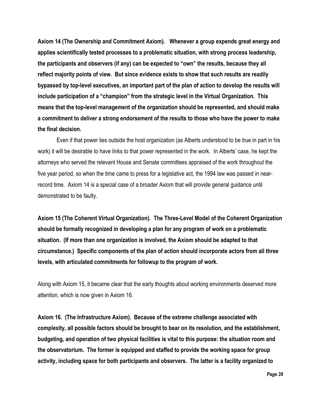**Axiom 14 (The Ownership and Commitment Axiom). Whenever a group expends great energy and applies scientifically tested processes to a problematic situation, with strong process leadership, the participants and observers (if any) can be expected to "own" the results, because they all reflect majority points of view. But since evidence exists to show that such results are readily bypassed by top-level executives, an important part of the plan of action to develop the results will include participation of a "champion" from the strategic level in the Virtual Organization. This means that the top-level management of the organization should be represented, and should make a commitment to deliver a strong endorsement of the results to those who have the power to make the final decision.** 

Even if that power lies outside the host organization (as Alberts understood to be true in part in his work) it will be desirable to have links to that power represented in the work. In Alberts' case, he kept the attorneys who served the relevant House and Senate committees appraised of the work throughout the five year period, so when the time came to press for a legislative act, the 1994 law was passed in nearrecord time. Axiom 14 is a special case of a broader Axiom that will provide general guidance until demonstrated to be faulty.

**Axiom 15 (The Coherent Virtual Organization). The Three-Level Model of the Coherent Organization should be formally recognized in developing a plan for any program of work on a problematic situation. (If more than one organization is involved, the Axiom should be adapted to that circumstance.) Specific components of the plan of action should incorporate actors from all three levels, with articulated commitments for followup to the program of work.**

Along with Axiom 15, it became clear that the early thoughts about working environments deserved more attention, which is now given in Axiom 16.

**Axiom 16. (The Infrastructure Axiom). Because of the extreme challenge associated with complexity, all possible factors should be brought to bear on its resolution, and the establishment, budgeting, and operation of two physical facilities is vital to this purpose: the situation room and the observatorium. The former is equipped and staffed to provide the working space for group activity, including space for both participants and observers. The latter is a facility organized to**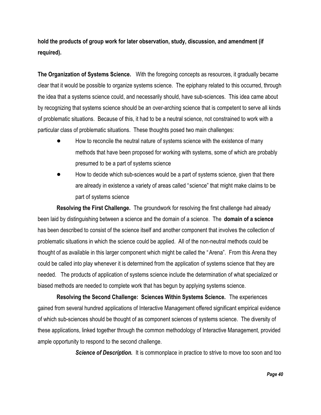**hold the products of group work for later observation, study, discussion, and amendment (if required).**

**The Organization of Systems Science.** With the foregoing concepts as resources, it gradually became clear that it would be possible to organize systems science. The epiphany related to this occurred, through the idea that a systems science could, and necessarily should, have sub-sciences. This idea came about by recognizing that systems science should be an over-arching science that is competent to serve all kinds of problematic situations. Because of this, it had to be a neutral science, not constrained to work with a particular class of problematic situations. These thoughts posed two main challenges:

- How to reconcile the neutral nature of systems science with the existence of many methods that have been proposed for working with systems, some of which are probably presumed to be a part of systems science
- How to decide which sub-sciences would be a part of systems science, given that there are already in existence a variety of areas called "science" that might make claims to be part of systems science

**Resolving the First Challenge.** The groundwork for resolving the first challenge had already been laid by distinguishing between a science and the domain of a science. The **domain of a science** has been described to consist of the science itself and another component that involves the collection of problematic situations in which the science could be applied. All of the non-neutral methods could be thought of as available in this larger component which might be called the "Arena". From this Arena they could be called into play whenever it is determined from the application of systems science that they are needed. The products of application of systems science include the determination of what specialized or biased methods are needed to complete work that has begun by applying systems science.

**Resolving the Second Challenge: Sciences Within Systems Science.** The experiences gained from several hundred applications of Interactive Management offered significant empirical evidence of which sub-sciences should be thought of as component sciences of systems science. The diversity of these applications, linked together through the common methodology of Interactive Management, provided ample opportunity to respond to the second challenge.

*Science of Description.* It is commonplace in practice to strive to move too soon and too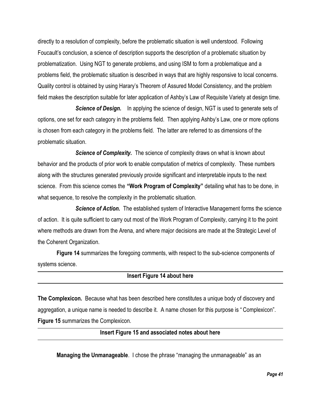directly to a resolution of complexity, before the problematic situation is well understood. Following Foucault's conclusion, a science of description supports the description of a problematic situation by problematization. Using NGT to generate problems, and using ISM to form a problematique and a problems field, the problematic situation is described in ways that are highly responsive to local concerns. Quality control is obtained by using Harary's Theorem of Assured Model Consistency, and the problem field makes the description suitable for later application of Ashby's Law of Requisite Variety at design time.

**Science of Design.** In applying the science of design, NGT is used to generate sets of options, one set for each category in the problems field. Then applying Ashby's Law, one or more options is chosen from each category in the problems field. The latter are referred to as dimensions of the problematic situation.

**Science of Complexity.** The science of complexity draws on what is known about behavior and the products of prior work to enable computation of metrics of complexity. These numbers along with the structures generated previously provide significant and interpretable inputs to the next science. From this science comes the **"Work Program of Complexity"** detailing what has to be done, in what sequence, to resolve the complexity in the problematic situation.

*Science of Action.* The established system of Interactive Management forms the science of action. It is quite sufficient to carry out most of the Work Program of Complexity, carrying it to the point where methods are drawn from the Arena, and where major decisions are made at the Strategic Level of the Coherent Organization.

**Figure 14** summarizes the foregoing comments, with respect to the sub-science components of systems science.

#### **Insert Figure 14 about here**

**The Complexicon.** Because what has been described here constitutes a unique body of discovery and aggregation, a unique name is needed to describe it. A name chosen for this purpose is " Complexicon". **Figure 15** summarizes the Complexicon.

#### **Insert Figure 15 and associated notes about here**

**Managing the Unmanageable**. I chose the phrase "managing the unmanageable" as an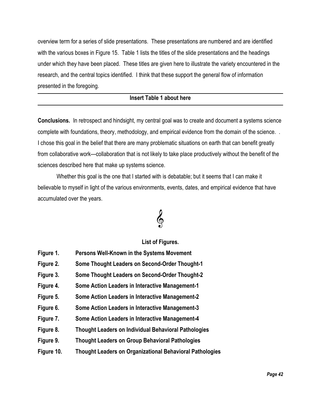overview term for a series of slide presentations. These presentations are numbered and are identified with the various boxes in Figure 15. Table 1 lists the titles of the slide presentations and the headings under which they have been placed. These titles are given here to illustrate the variety encountered in the research, and the central topics identified. I think that these support the general flow of information presented in the foregoing.

## **Insert Table 1 about here**

**Conclusions.** In retrospect and hindsight, my central goal was to create and document a systems science complete with foundations, theory, methodology, and empirical evidence from the domain of the science. . I chose this goal in the belief that there are many problematic situations on earth that can benefit greatly from collaborative work—collaboration that is not likely to take place productively without the benefit of the sciences described here that make up systems science.

Whether this goal is the one that I started with is debatable; but it seems that I can make it believable to myself in light of the various environments, events, dates, and empirical evidence that have accumulated over the years.

## $\breve{\Phi}$

### **List of Figures.**

- **Figure 1. Persons Well-Known in the Systems Movement**
- **Figure 2. Some Thought Leaders on Second-Order Thought-1**
- **Figure 3. Some Thought Leaders on Second-Order Thought-2**
- **Figure 4. Some Action Leaders in Interactive Management-1**
- **Figure 5. Some Action Leaders in Interactive Management-2**
- **Figure 6. Some Action Leaders in Interactive Management-3**
- **Figure 7. Some Action Leaders in Interactive Management-4**
- **Figure 8. Thought Leaders on Individual Behavioral Pathologies**
- **Figure 9. Thought Leaders on Group Behavioral Pathologies**
- **Figure 10. Thought Leaders on Organizational Behavioral Pathologies**